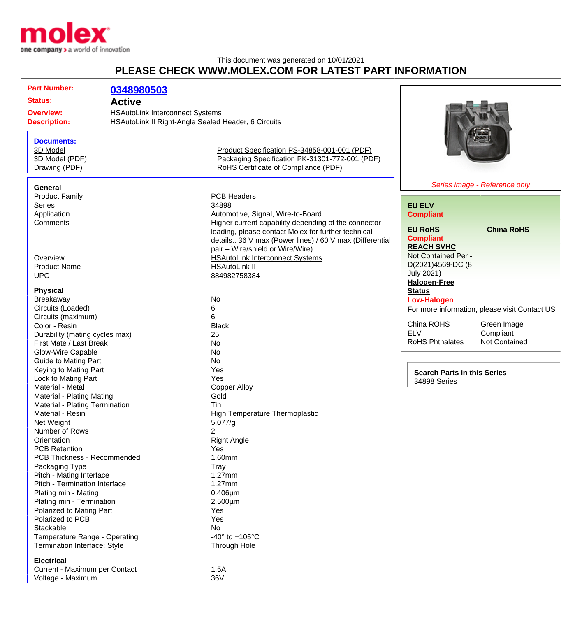

## This document was generated on 10/01/2021 **PLEASE CHECK WWW.MOLEX.COM FOR LATEST PART INFORMATION**

| <b>Part Number:</b>                                         | 0348980503                                          |                                                                                                |                                    |                                               |
|-------------------------------------------------------------|-----------------------------------------------------|------------------------------------------------------------------------------------------------|------------------------------------|-----------------------------------------------|
|                                                             |                                                     |                                                                                                |                                    |                                               |
| <b>Status:</b>                                              | <b>Active</b>                                       |                                                                                                |                                    |                                               |
| <b>Overview:</b>                                            | <b>HSAutoLink Interconnect Systems</b>              |                                                                                                |                                    |                                               |
| <b>Description:</b>                                         | HSAutoLink II Right-Angle Sealed Header, 6 Circuits |                                                                                                |                                    |                                               |
|                                                             |                                                     |                                                                                                |                                    |                                               |
| <b>Documents:</b>                                           |                                                     |                                                                                                |                                    |                                               |
| 3D Model<br>3D Model (PDF)                                  |                                                     | Product Specification PS-34858-001-001 (PDF)<br>Packaging Specification PK-31301-772-001 (PDF) |                                    |                                               |
| Drawing (PDF)                                               |                                                     | RoHS Certificate of Compliance (PDF)                                                           |                                    |                                               |
|                                                             |                                                     |                                                                                                |                                    |                                               |
| <b>General</b>                                              |                                                     |                                                                                                |                                    | Series image - Reference only                 |
| <b>Product Family</b>                                       |                                                     | <b>PCB Headers</b>                                                                             |                                    |                                               |
| <b>Series</b>                                               |                                                     | 34898                                                                                          | <b>EU ELV</b>                      |                                               |
| Application                                                 |                                                     | Automotive, Signal, Wire-to-Board                                                              | <b>Compliant</b>                   |                                               |
| Comments                                                    |                                                     | Higher current capability depending of the connector                                           |                                    |                                               |
|                                                             |                                                     | loading, please contact Molex for further technical                                            | <b>EU RoHS</b>                     | <b>China RoHS</b>                             |
|                                                             |                                                     | details 36 V max (Power lines) / 60 V max (Differential                                        | <b>Compliant</b>                   |                                               |
|                                                             |                                                     | pair - Wire/shield or Wire/Wire).                                                              | <b>REACH SVHC</b>                  |                                               |
| Overview                                                    |                                                     | <b>HSAutoLink Interconnect Systems</b>                                                         | Not Contained Per -                |                                               |
| <b>Product Name</b>                                         |                                                     | <b>HSAutoLink II</b>                                                                           | D(2021)4569-DC (8                  |                                               |
| <b>UPC</b>                                                  |                                                     | 884982758384                                                                                   | <b>July 2021)</b>                  |                                               |
|                                                             |                                                     |                                                                                                | <b>Halogen-Free</b>                |                                               |
| <b>Physical</b>                                             |                                                     |                                                                                                | <b>Status</b>                      |                                               |
| Breakaway                                                   |                                                     | No                                                                                             | <b>Low-Halogen</b>                 |                                               |
| Circuits (Loaded)                                           |                                                     | 6                                                                                              |                                    | For more information, please visit Contact US |
| Circuits (maximum)                                          |                                                     | 6                                                                                              |                                    |                                               |
| Color - Resin                                               |                                                     | <b>Black</b>                                                                                   | China ROHS<br><b>ELV</b>           | Green Image<br>Compliant                      |
| Durability (mating cycles max)                              |                                                     | 25                                                                                             | <b>RoHS Phthalates</b>             | <b>Not Contained</b>                          |
| First Mate / Last Break                                     |                                                     | <b>No</b>                                                                                      |                                    |                                               |
| Glow-Wire Capable                                           |                                                     | <b>No</b>                                                                                      |                                    |                                               |
| <b>Guide to Mating Part</b>                                 |                                                     | <b>No</b>                                                                                      |                                    |                                               |
| Keying to Mating Part                                       |                                                     | Yes<br>Yes                                                                                     | <b>Search Parts in this Series</b> |                                               |
| Lock to Mating Part                                         |                                                     |                                                                                                | 34898 Series                       |                                               |
| Material - Metal                                            |                                                     | <b>Copper Alloy</b><br>Gold                                                                    |                                    |                                               |
| Material - Plating Mating<br>Material - Plating Termination |                                                     | Tin                                                                                            |                                    |                                               |
| Material - Resin                                            |                                                     | <b>High Temperature Thermoplastic</b>                                                          |                                    |                                               |
| Net Weight                                                  |                                                     | 5.077/g                                                                                        |                                    |                                               |
| Number of Rows                                              |                                                     | 2                                                                                              |                                    |                                               |
| Orientation                                                 |                                                     | <b>Right Angle</b>                                                                             |                                    |                                               |
| <b>PCB Retention</b>                                        |                                                     | Yes                                                                                            |                                    |                                               |
| PCB Thickness - Recommended                                 |                                                     | 1.60mm                                                                                         |                                    |                                               |
| Packaging Type                                              |                                                     | <b>Tray</b>                                                                                    |                                    |                                               |
| Pitch - Mating Interface                                    |                                                     | 1.27mm                                                                                         |                                    |                                               |
| Pitch - Termination Interface                               |                                                     | 1.27mm                                                                                         |                                    |                                               |
| Plating min - Mating                                        |                                                     | $0.406 \mu m$                                                                                  |                                    |                                               |
| Plating min - Termination                                   |                                                     | $2.500 \mu m$                                                                                  |                                    |                                               |
| Polarized to Mating Part                                    |                                                     | Yes                                                                                            |                                    |                                               |
| Polarized to PCB                                            |                                                     | Yes                                                                                            |                                    |                                               |
| Stackable                                                   |                                                     | No                                                                                             |                                    |                                               |
| Temperature Range - Operating                               |                                                     | -40 $\degree$ to +105 $\degree$ C                                                              |                                    |                                               |
| Termination Interface: Style                                |                                                     | Through Hole                                                                                   |                                    |                                               |
| <b>Electrical</b>                                           |                                                     |                                                                                                |                                    |                                               |
| Current - Maximum per Contact                               |                                                     | 1.5A                                                                                           |                                    |                                               |
| Voltage - Maximum                                           |                                                     | 36V                                                                                            |                                    |                                               |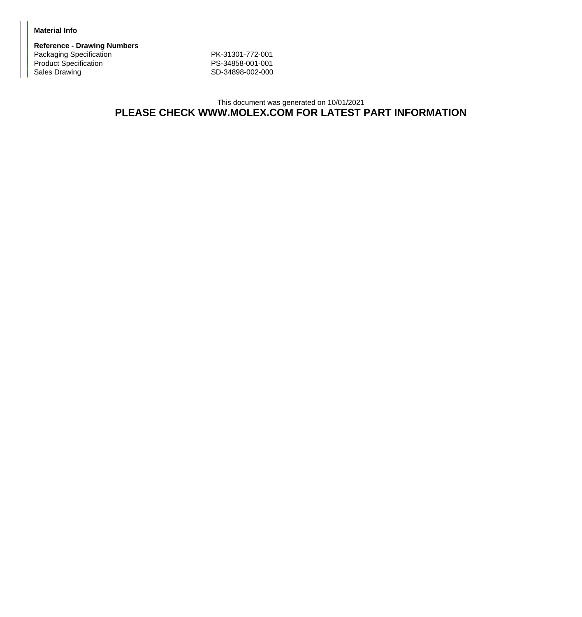## **Material Info**

**Reference - Drawing Numbers** Packaging Specification PK-31301-772-001 Product Specification<br>
Product Specification<br>
Sales Drawing<br>
PS-34898-002-000<br>
SD-34898-002-000

SD-34898-002-000

## This document was generated on 10/01/2021 **PLEASE CHECK WWW.MOLEX.COM FOR LATEST PART INFORMATION**